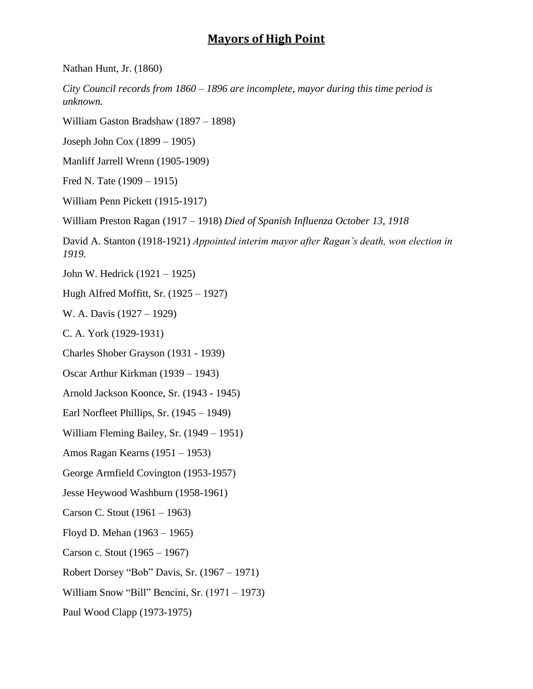## **Mayors of High Point**

Nathan Hunt, Jr. (1860)

*City Council records from 1860 – 1896 are incomplete, mayor during this time period is unknown.*

William Gaston Bradshaw (1897 – 1898)

Joseph John Cox (1899 – 1905)

Manliff Jarrell Wrenn (1905-1909)

Fred N. Tate (1909 – 1915)

William Penn Pickett (1915-1917)

William Preston Ragan (1917 – 1918) *Died of Spanish Influenza October 13, 1918*

David A. Stanton (1918-1921) *Appointed interim mayor after Ragan's death, won election in 1919.*

John W. Hedrick (1921 – 1925)

Hugh Alfred Moffitt, Sr. (1925 – 1927)

W. A. Davis (1927 – 1929)

C. A. York (1929-1931)

Charles Shober Grayson (1931 - 1939)

Oscar Arthur Kirkman (1939 – 1943)

Arnold Jackson Koonce, Sr. (1943 - 1945)

Earl Norfleet Phillips, Sr. (1945 – 1949)

William Fleming Bailey, Sr. (1949 – 1951)

Amos Ragan Kearns (1951 – 1953)

George Armfield Covington (1953-1957)

Jesse Heywood Washburn (1958-1961)

Carson C. Stout (1961 – 1963)

Floyd D. Mehan (1963 – 1965)

Carson c. Stout (1965 – 1967)

Robert Dorsey "Bob" Davis, Sr. (1967 – 1971)

William Snow "Bill" Bencini, Sr. (1971 – 1973)

Paul Wood Clapp (1973-1975)